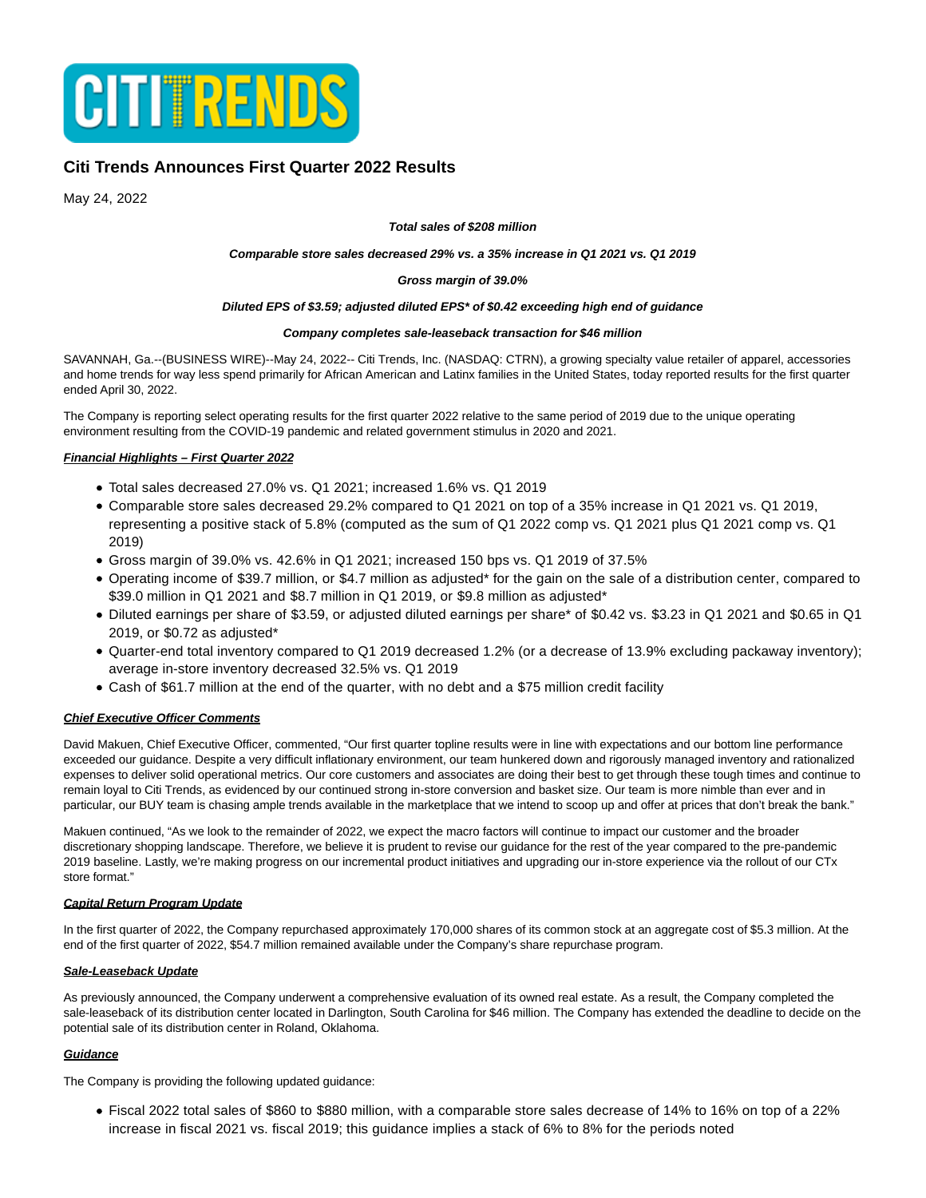

# **Citi Trends Announces First Quarter 2022 Results**

May 24, 2022

#### **Total sales of \$208 million**

## **Comparable store sales decreased 29% vs. a 35% increase in Q1 2021 vs. Q1 2019**

#### **Gross margin of 39.0%**

#### **Diluted EPS of \$3.59; adjusted diluted EPS\* of \$0.42 exceeding high end of guidance**

#### **Company completes sale-leaseback transaction for \$46 million**

SAVANNAH, Ga.--(BUSINESS WIRE)--May 24, 2022-- Citi Trends, Inc. (NASDAQ: CTRN), a growing specialty value retailer of apparel, accessories and home trends for way less spend primarily for African American and Latinx families in the United States, today reported results for the first quarter ended April 30, 2022.

The Company is reporting select operating results for the first quarter 2022 relative to the same period of 2019 due to the unique operating environment resulting from the COVID-19 pandemic and related government stimulus in 2020 and 2021.

## **Financial Highlights – First Quarter 2022**

- Total sales decreased 27.0% vs. Q1 2021; increased 1.6% vs. Q1 2019
- Comparable store sales decreased 29.2% compared to Q1 2021 on top of a 35% increase in Q1 2021 vs. Q1 2019, representing a positive stack of 5.8% (computed as the sum of Q1 2022 comp vs. Q1 2021 plus Q1 2021 comp vs. Q1 2019)
- Gross margin of 39.0% vs. 42.6% in Q1 2021; increased 150 bps vs. Q1 2019 of 37.5%
- Operating income of \$39.7 million, or \$4.7 million as adjusted\* for the gain on the sale of a distribution center, compared to \$39.0 million in Q1 2021 and \$8.7 million in Q1 2019, or \$9.8 million as adjusted\*
- Diluted earnings per share of \$3.59, or adjusted diluted earnings per share\* of \$0.42 vs. \$3.23 in Q1 2021 and \$0.65 in Q1 2019, or \$0.72 as adjusted\*
- Quarter-end total inventory compared to Q1 2019 decreased 1.2% (or a decrease of 13.9% excluding packaway inventory); average in-store inventory decreased 32.5% vs. Q1 2019
- Cash of \$61.7 million at the end of the quarter, with no debt and a \$75 million credit facility

## **Chief Executive Officer Comments**

David Makuen, Chief Executive Officer, commented, "Our first quarter topline results were in line with expectations and our bottom line performance exceeded our guidance. Despite a very difficult inflationary environment, our team hunkered down and rigorously managed inventory and rationalized expenses to deliver solid operational metrics. Our core customers and associates are doing their best to get through these tough times and continue to remain loyal to Citi Trends, as evidenced by our continued strong in-store conversion and basket size. Our team is more nimble than ever and in particular, our BUY team is chasing ample trends available in the marketplace that we intend to scoop up and offer at prices that don't break the bank."

Makuen continued, "As we look to the remainder of 2022, we expect the macro factors will continue to impact our customer and the broader discretionary shopping landscape. Therefore, we believe it is prudent to revise our guidance for the rest of the year compared to the pre-pandemic 2019 baseline. Lastly, we're making progress on our incremental product initiatives and upgrading our in-store experience via the rollout of our CTx store format."

## **Capital Return Program Update**

In the first quarter of 2022, the Company repurchased approximately 170,000 shares of its common stock at an aggregate cost of \$5.3 million. At the end of the first quarter of 2022, \$54.7 million remained available under the Company's share repurchase program.

## **Sale-Leaseback Update**

As previously announced, the Company underwent a comprehensive evaluation of its owned real estate. As a result, the Company completed the sale-leaseback of its distribution center located in Darlington, South Carolina for \$46 million. The Company has extended the deadline to decide on the potential sale of its distribution center in Roland, Oklahoma.

## **Guidance**

The Company is providing the following updated guidance:

Fiscal 2022 total sales of \$860 to \$880 million, with a comparable store sales decrease of 14% to 16% on top of a 22% increase in fiscal 2021 vs. fiscal 2019; this guidance implies a stack of 6% to 8% for the periods noted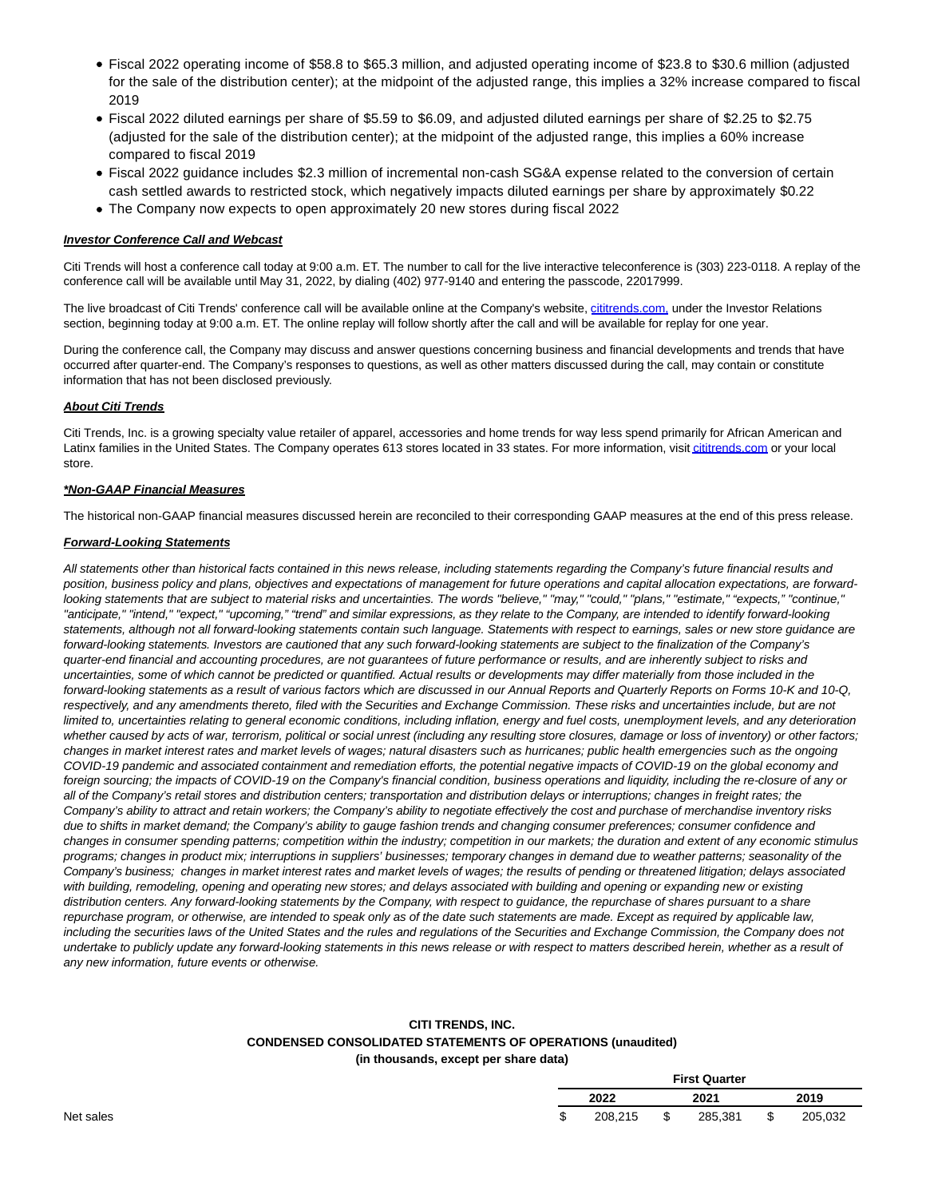- Fiscal 2022 operating income of \$58.8 to \$65.3 million, and adjusted operating income of \$23.8 to \$30.6 million (adjusted for the sale of the distribution center); at the midpoint of the adjusted range, this implies a 32% increase compared to fiscal 2019
- Fiscal 2022 diluted earnings per share of \$5.59 to \$6.09, and adjusted diluted earnings per share of \$2.25 to \$2.75 (adjusted for the sale of the distribution center); at the midpoint of the adjusted range, this implies a 60% increase compared to fiscal 2019
- Fiscal 2022 guidance includes \$2.3 million of incremental non-cash SG&A expense related to the conversion of certain cash settled awards to restricted stock, which negatively impacts diluted earnings per share by approximately \$0.22
- The Company now expects to open approximately 20 new stores during fiscal 2022

## **Investor Conference Call and Webcast**

Citi Trends will host a conference call today at 9:00 a.m. ET. The number to call for the live interactive teleconference is (303) 223-0118. A replay of the conference call will be available until May 31, 2022, by dialing (402) 977-9140 and entering the passcode, 22017999.

The live broadcast of Citi Trends' conference call will be available online at the Company's website, [cititrends.com, u](https://cts.businesswire.com/ct/CT?id=smartlink&url=http%3A%2F%2Fwww.cititrends.com%2F&esheet=52728804&newsitemid=20220524005455&lan=en-US&anchor=cititrends.com%2C&index=1&md5=330f081de0dbd388fef3bc03d95356df)nder the Investor Relations section, beginning today at 9:00 a.m. ET. The online replay will follow shortly after the call and will be available for replay for one year.

During the conference call, the Company may discuss and answer questions concerning business and financial developments and trends that have occurred after quarter-end. The Company's responses to questions, as well as other matters discussed during the call, may contain or constitute information that has not been disclosed previously.

# **About Citi Trends**

Citi Trends, Inc. is a growing specialty value retailer of apparel, accessories and home trends for way less spend primarily for African American and Latinx families in the United States. The Company operates 613 stores located in 33 states. For more information, visi[t cititrends.com o](https://cts.businesswire.com/ct/CT?id=smartlink&url=http%3A%2F%2Fcititrends.com&esheet=52728804&newsitemid=20220524005455&lan=en-US&anchor=cititrends.com&index=2&md5=cd181d9a1e2f1618874325ad4b0a71a2)r your local store.

## **\*Non-GAAP Financial Measures**

The historical non-GAAP financial measures discussed herein are reconciled to their corresponding GAAP measures at the end of this press release.

## **Forward-Looking Statements**

All statements other than historical facts contained in this news release, including statements regarding the Company's future financial results and position, business policy and plans, objectives and expectations of management for future operations and capital allocation expectations, are forwardlooking statements that are subject to material risks and uncertainties. The words "believe," "may," "could," "plans," "estimate," "expects," "continue," "anticipate," "intend," "expect," "upcoming," "trend" and similar expressions, as they relate to the Company, are intended to identify forward-looking statements, although not all forward-looking statements contain such language. Statements with respect to earnings, sales or new store guidance are forward-looking statements. Investors are cautioned that any such forward-looking statements are subject to the finalization of the Company's quarter-end financial and accounting procedures, are not guarantees of future performance or results, and are inherently subject to risks and uncertainties, some of which cannot be predicted or quantified. Actual results or developments may differ materially from those included in the forward-looking statements as a result of various factors which are discussed in our Annual Reports and Quarterly Reports on Forms 10-K and 10-Q, respectively, and any amendments thereto, filed with the Securities and Exchange Commission. These risks and uncertainties include, but are not limited to, uncertainties relating to general economic conditions, including inflation, energy and fuel costs, unemployment levels, and any deterioration whether caused by acts of war, terrorism, political or social unrest (including any resulting store closures, damage or loss of inventory) or other factors; changes in market interest rates and market levels of wages; natural disasters such as hurricanes; public health emergencies such as the ongoing COVID-19 pandemic and associated containment and remediation efforts, the potential negative impacts of COVID-19 on the global economy and foreign sourcing; the impacts of COVID-19 on the Company's financial condition, business operations and liquidity, including the re-closure of any or all of the Company's retail stores and distribution centers; transportation and distribution delays or interruptions; changes in freight rates; the Company's ability to attract and retain workers; the Company's ability to negotiate effectively the cost and purchase of merchandise inventory risks due to shifts in market demand; the Company's ability to gauge fashion trends and changing consumer preferences; consumer confidence and changes in consumer spending patterns; competition within the industry; competition in our markets; the duration and extent of any economic stimulus programs; changes in product mix; interruptions in suppliers' businesses; temporary changes in demand due to weather patterns; seasonality of the Company's business; changes in market interest rates and market levels of wages; the results of pending or threatened litigation; delays associated with building, remodeling, opening and operating new stores; and delays associated with building and opening or expanding new or existing distribution centers. Any forward-looking statements by the Company, with respect to guidance, the repurchase of shares pursuant to a share repurchase program, or otherwise, are intended to speak only as of the date such statements are made. Except as required by applicable law, including the securities laws of the United States and the rules and regulations of the Securities and Exchange Commission, the Company does not undertake to publicly update any forward-looking statements in this news release or with respect to matters described herein, whether as a result of any new information, future events or otherwise.

# **CITI TRENDS, INC. CONDENSED CONSOLIDATED STATEMENTS OF OPERATIONS (unaudited) (in thousands, except per share data)**

|   | <b>First Quarter</b> |      |         |   |         |  |  |
|---|----------------------|------|---------|---|---------|--|--|
|   | 2022                 | 2021 |         |   | 2019    |  |  |
| w | 208,215              | \$   | 285,381 | S | 205,032 |  |  |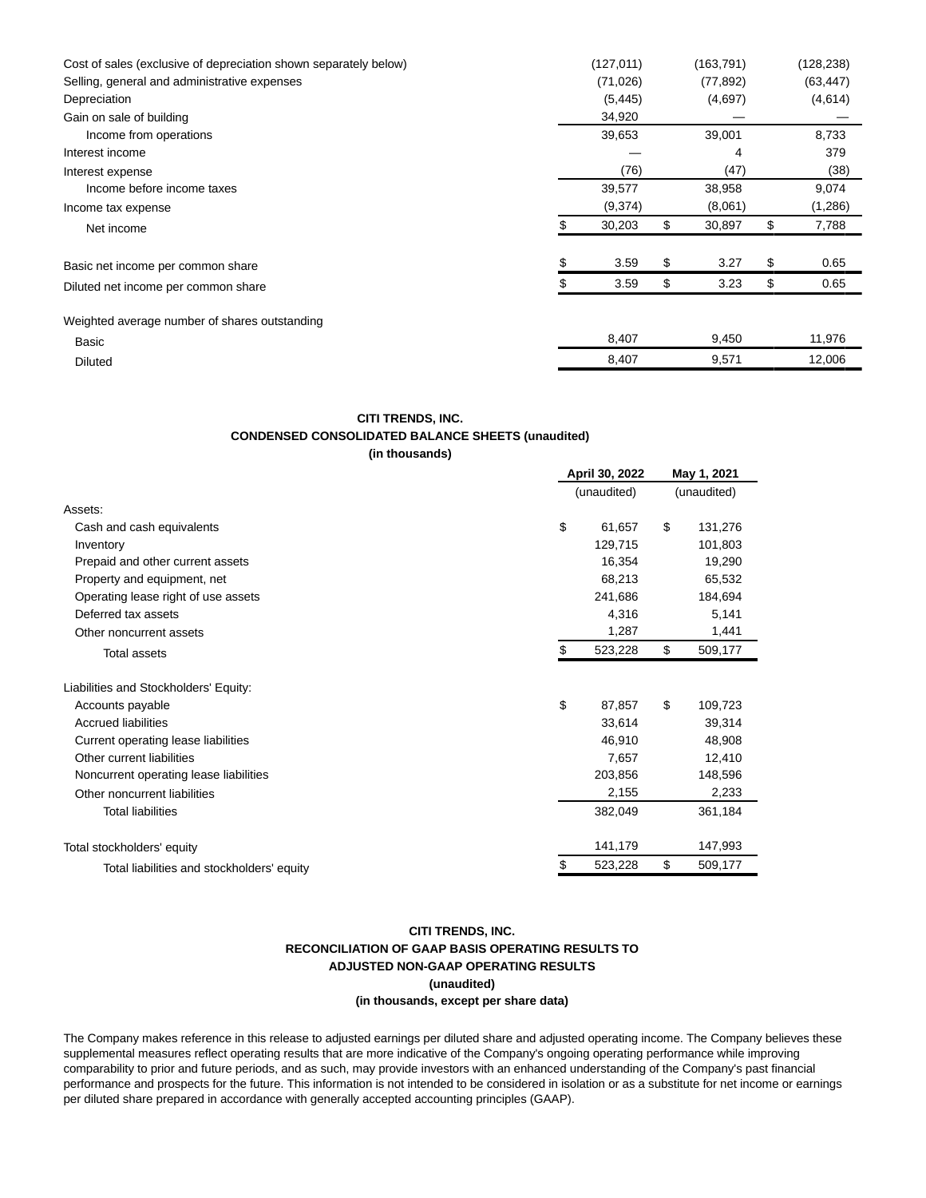| Cost of sales (exclusive of depreciation shown separately below) |        | (127,011) |    | (163,791) |    | (128, 238) |
|------------------------------------------------------------------|--------|-----------|----|-----------|----|------------|
| Selling, general and administrative expenses                     |        | (71, 026) |    | (77, 892) |    | (63, 447)  |
| Depreciation                                                     |        | (5, 445)  |    | (4,697)   |    | (4,614)    |
| Gain on sale of building                                         |        | 34,920    |    |           |    |            |
| Income from operations                                           | 39,653 |           |    | 39,001    |    | 8,733      |
| Interest income                                                  |        |           |    | 4         |    | 379        |
| Interest expense                                                 | (76)   |           |    | (47)      |    | (38)       |
| Income before income taxes                                       |        | 39,577    |    | 38,958    |    | 9,074      |
| Income tax expense                                               |        | (9,374)   |    | (8,061)   |    | (1,286)    |
| Net income                                                       |        | 30,203    | \$ | 30,897    | \$ | 7,788      |
| Basic net income per common share                                |        | 3.59      | \$ | 3.27      | \$ | 0.65       |
| Diluted net income per common share                              |        | 3.59      | \$ | 3.23      | \$ | 0.65       |
| Weighted average number of shares outstanding                    |        |           |    |           |    |            |
| Basic                                                            |        | 8,407     |    | 9,450     |    | 11,976     |
| <b>Diluted</b>                                                   |        | 8,407     |    | 9,571     |    | 12,006     |

#### **CITI TRENDS, INC.**

# **CONDENSED CONSOLIDATED BALANCE SHEETS (unaudited)**

**(in thousands)**

|                                            |    | April 30, 2022 |    |         |  |
|--------------------------------------------|----|----------------|----|---------|--|
|                                            |    | (unaudited)    |    |         |  |
| Assets:                                    |    |                |    |         |  |
| Cash and cash equivalents                  | \$ | 61,657         | \$ | 131,276 |  |
| Inventory                                  |    | 129,715        |    | 101,803 |  |
| Prepaid and other current assets           |    | 16,354         |    | 19,290  |  |
| Property and equipment, net                |    | 68,213         |    | 65,532  |  |
| Operating lease right of use assets        |    | 241,686        |    | 184,694 |  |
| Deferred tax assets                        |    | 4,316          |    | 5,141   |  |
| Other noncurrent assets                    |    | 1,287          |    | 1,441   |  |
| <b>Total assets</b>                        | S  | 523,228        | \$ | 509,177 |  |
| Liabilities and Stockholders' Equity:      |    |                |    |         |  |
| Accounts payable                           | \$ | 87,857         | \$ | 109,723 |  |
| <b>Accrued liabilities</b>                 |    | 33,614         |    | 39,314  |  |
| Current operating lease liabilities        |    | 46,910         |    | 48,908  |  |
| Other current liabilities                  |    | 7,657          |    | 12,410  |  |
| Noncurrent operating lease liabilities     |    | 203,856        |    | 148,596 |  |
| Other noncurrent liabilities               |    | 2,155          |    | 2,233   |  |
| <b>Total liabilities</b>                   |    | 382,049        |    | 361,184 |  |
| Total stockholders' equity                 |    | 141,179        |    | 147,993 |  |
| Total liabilities and stockholders' equity | \$ | 523,228        | \$ | 509,177 |  |

# **CITI TRENDS, INC. RECONCILIATION OF GAAP BASIS OPERATING RESULTS TO ADJUSTED NON-GAAP OPERATING RESULTS (unaudited) (in thousands, except per share data)**

The Company makes reference in this release to adjusted earnings per diluted share and adjusted operating income. The Company believes these supplemental measures reflect operating results that are more indicative of the Company's ongoing operating performance while improving comparability to prior and future periods, and as such, may provide investors with an enhanced understanding of the Company's past financial performance and prospects for the future. This information is not intended to be considered in isolation or as a substitute for net income or earnings per diluted share prepared in accordance with generally accepted accounting principles (GAAP).